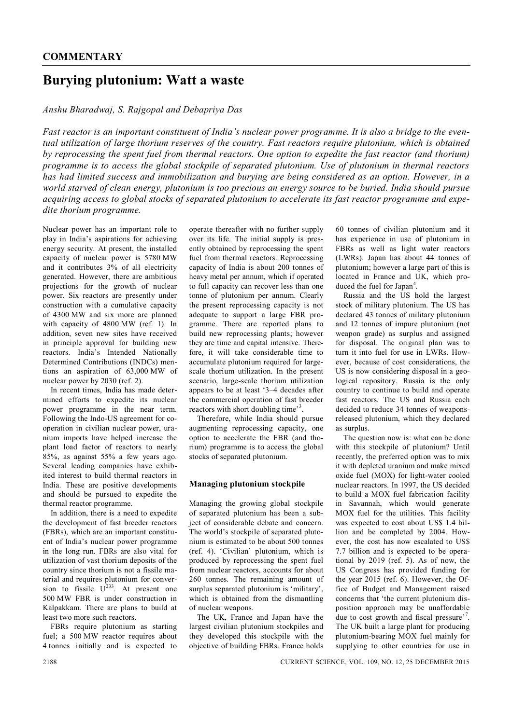# **Burying plutonium: Watt a waste**

## *Anshu Bharadwaj, S. Rajgopal and Debapriya Das*

*Fast reactor is an important constituent of India's nuclear power programme. It is also a bridge to the eventual utilization of large thorium reserves of the country. Fast reactors require plutonium, which is obtained by reprocessing the spent fuel from thermal reactors. One option to expedite the fast reactor (and thorium) programme is to access the global stockpile of separated plutonium. Use of plutonium in thermal reactors has had limited success and immobilization and burying are being considered as an option. However, in a world starved of clean energy, plutonium is too precious an energy source to be buried. India should pursue acquiring access to global stocks of separated plutonium to accelerate its fast reactor programme and expedite thorium programme.*

operate thereafter with no further supply

Nuclear power has an important role to play in India's aspirations for achieving energy security. At present, the installed capacity of nuclear power is 5780 MW and it contributes 3% of all electricity generated. However, there are ambitious projections for the growth of nuclear power. Six reactors are presently under construction with a cumulative capacity of 4300 MW and six more are planned with capacity of 4800 MW (ref. 1). In addition, seven new sites have received in principle approval for building new reactors. India's Intended Nationally Determined Contributions (INDCs) mentions an aspiration of 63,000 MW of nuclear power by 2030 (ref. 2).

In recent times, India has made determined efforts to expedite its nuclear power programme in the near term. Following the Indo-US agreement for cooperation in civilian nuclear power, uranium imports have helped increase the plant load factor of reactors to nearly 85%, as against 55% a few years ago. Several leading companies have exhibited interest to build thermal reactors in India. These are positive developments and should be pursued to expedite the thermal reactor programme.

In addition, there is a need to expedite the development of fast breeder reactors (FBRs), which are an important constituent of India's nuclear power programme in the long run. FBRs are also vital for utilization of vast thorium deposits of the country since thorium is not a fissile material and requires plutonium for conversion to fissile  $U^{233}$ . At present one 500 MW FBR is under construction in Kalpakkam. There are plans to build at least two more such reactors.

FBRs require plutonium as starting fuel; a 500 MW reactor requires about 4 tonnes initially and is expected to over its life. The initial supply is presently obtained by reprocessing the spent fuel from thermal reactors. Reprocessing capacity of India is about 200 tonnes of heavy metal per annum, which if operated to full capacity can recover less than one tonne of plutonium per annum. Clearly the present reprocessing capacity is not adequate to support a large FBR programme. There are reported plans to build new reprocessing plants; however they are time and capital intensive. Therefore, it will take considerable time to accumulate plutonium required for largescale thorium utilization. In the present scenario, large-scale thorium utilization appears to be at least '3–4 decades after the commercial operation of fast breeder reactors with short doubling time<sup>3</sup>. Therefore, while India should pursue

augmenting reprocessing capacity, one option to accelerate the FBR (and thorium) programme is to access the global stocks of separated plutonium.

#### **Managing plutonium stockpile**

Managing the growing global stockpile of separated plutonium has been a subject of considerable debate and concern. The world's stockpile of separated plutonium is estimated to be about 500 tonnes (ref. 4). 'Civilian' plutonium, which is produced by reprocessing the spent fuel from nuclear reactors, accounts for about 260 tonnes. The remaining amount of surplus separated plutonium is 'military', which is obtained from the dismantling of nuclear weapons.

The UK, France and Japan have the largest civilian plutonium stockpiles and they developed this stockpile with the objective of building FBRs. France holds 60 tonnes of civilian plutonium and it has experience in use of plutonium in FBRs as well as light water reactors (LWRs). Japan has about 44 tonnes of plutonium; however a large part of this is located in France and UK, which produced the fuel for Japan<sup>4</sup>.

Russia and the US hold the largest stock of military plutonium. The US has declared 43 tonnes of military plutonium and 12 tonnes of impure plutonium (not weapon grade) as surplus and assigned for disposal. The original plan was to turn it into fuel for use in LWRs. However, because of cost considerations, the US is now considering disposal in a geological repository. Russia is the only country to continue to build and operate fast reactors. The US and Russia each decided to reduce 34 tonnes of weaponsreleased plutonium, which they declared as surplus.

The question now is: what can be done with this stockpile of plutonium? Until recently, the preferred option was to mix it with depleted uranium and make mixed oxide fuel (MOX) for light-water cooled nuclear reactors. In 1997, the US decided to build a MOX fuel fabrication facility in Savannah, which would generate MOX fuel for the utilities. This facility was expected to cost about US\$ 1.4 billion and be completed by 2004. However, the cost has now escalated to US\$ 7.7 billion and is expected to be operational by 2019 (ref.  $5$ ). As of now, the US Congress has provided funding for the year 2015 (ref. 6). However, the Office of Budget and Management raised concerns that 'the current plutonium disposition approach may be unaffordable due to cost growth and fiscal pressure'<sup>7</sup>. The UK built a large plant for producing plutonium-bearing MOX fuel mainly for supplying to other countries for use in